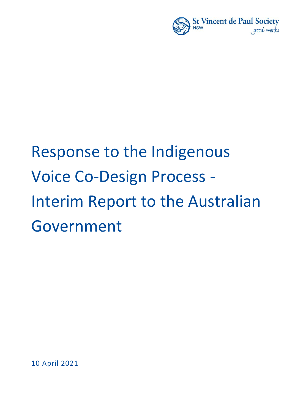

# Response to the Indigenous Voice Co-Design Process - Interim Report to the Australian Government

10 April 2021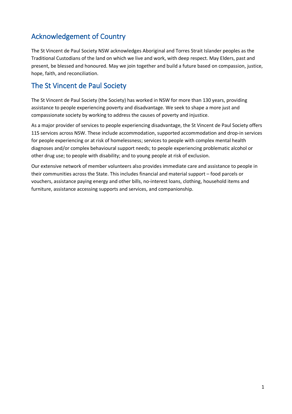### Acknowledgement of Country

The St Vincent de Paul Society NSW acknowledges Aboriginal and Torres Strait Islander peoples as the Traditional Custodians of the land on which we live and work, with deep respect. May Elders, past and present, be blessed and honoured. May we join together and build a future based on compassion, justice, hope, faith, and reconciliation.

#### The St Vincent de Paul Society

The St Vincent de Paul Society (the Society) has worked in NSW for more than 130 years, providing assistance to people experiencing poverty and disadvantage. We seek to shape a more just and compassionate society by working to address the causes of poverty and injustice.

As a major provider of services to people experiencing disadvantage, the St Vincent de Paul Society offers 115 services across NSW. These include accommodation, supported accommodation and drop-in services for people experiencing or at risk of homelessness; services to people with complex mental health diagnoses and/or complex behavioural support needs; to people experiencing problematic alcohol or other drug use; to people with disability; and to young people at risk of exclusion.

Our extensive network of member volunteers also provides immediate care and assistance to people in their communities across the State. This includes financial and material support – food parcels or vouchers, assistance paying energy and other bills, no-interest loans, clothing, household items and furniture, assistance accessing supports and services, and companionship.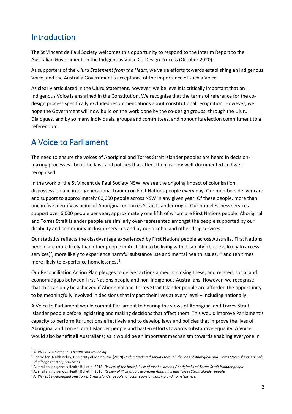# Introduction

The St Vincent de Paul Society welcomes this opportunity to respond to the Interim Report to the Australian Government on the Indigenous Voice Co-Design Process (October 2020).

As supporters of the *Uluru Statement from the Heart*, we value efforts towards establishing an Indigenous Voice, and the Australia Government's acceptance of the importance of such a Voice.

As clearly articulated in the Uluru Statement, however, we believe it is critically important that an Indigenous Voice is enshrined in the Constitution. We recognise that the terms of reference for the codesign process specifically excluded recommendations about constitutional recognition. However, we hope the Government will now build on the work done by the co-design groups, through the Uluru Dialogues, and by so many individuals, groups and committees, and honour its election commitment to a referendum.

# A Voice to Parliament

The need to ensure the voices of Aboriginal and Torres Strait Islander peoples are heard in decisionmaking processes about the laws and policies that affect them is now well-documented and wellrecognised.

In the work of the St Vincent de Paul Society NSW, we see the ongoing impact of colonisation, dispossession and inter-generational trauma on First Nations people every day. Our members deliver care and support to approximately 60,000 people across NSW in any given year. Of these people, more than one in five identify as being of Aboriginal or Torres Strait Islander origin. Our homelessness services support over 6,000 people per year, approximately one fifth of whom are First Nations people. Aboriginal and Torres Strait Islander people are similarly over-represented amongst the people supported by our disability and community inclusion services and by our alcohol and other drug services.

Our statistics reflects the disadvantage experienced by First Nations people across Australia. First Nations people are more likely than other people in Australia to be living with disability<sup>1</sup> (but less likely to access services)<sup>2</sup>, more likely to experience harmful substance use and mental health issues,<sup>3,4</sup> and ten times more likely to experience homelessness<sup>5</sup>.

Our Reconciliation Action Plan pledges to deliver actions aimed at closing these, and related, social and economic gaps between First Nations people and non-Indigenous Australians. However, we recognise that this can only be achieved if Aboriginal and Torres Strait Islander people are afforded the opportunity to be meaningfully involved in decisions that impact their lives at every level – including nationally.

A Voice to Parliament would commit Parliament to hearing the views of Aboriginal and Torres Strait Islander people before legislating and making decisions that affect them. This would improve Parliament's capacity to perform its functions effectively and to develop laws and policies that improve the lives of Aboriginal and Torres Strait Islander people and hasten efforts towards substantive equality. A Voice would also benefit all Australians; as it would be an important mechanism towards enabling everyone in

<sup>1</sup> AIHW (2020) *Indigenous health and wellbeing*

<sup>2</sup> Centre for Health Policy, University of Melbourne (2019) *Understanding disability through the lens of Aboriginal and Torres Strait Islander people – challenges and opportunities.*

<sup>3</sup> Australian Indigenous Health Bulletin (2018) *Review of the harmful use of alcohol among Aboriginal and Torres Strait Islander people*

<sup>4</sup> Australian Indigenous Health Bulletin (2016) *Review of illicit drug use among Aboriginal and Torres Strait Islander people*

<sup>5</sup> AIHW (2019) *Aboriginal and Torres Strait Islander people: a focus report on housing and homelessness.*